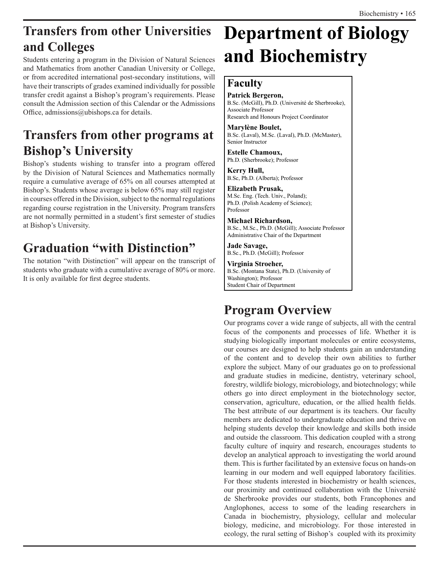## **Transfers from other Universities and Colleges**

Students entering a program in the Division of Natural Sciences and Mathematics from another Canadian University or College, or from accredited international post-secondary institutions, will have their transcripts of grades examined individually for possible transfer credit against a Bishop's program's requirements. Please consult the Admission section of this Calendar or the Admissions Office, admissions@ubishops.ca for details.

## **Transfers from other programs at Bishop's University**

Bishop's students wishing to transfer into a program offered by the Division of Natural Sciences and Mathematics normally require a cumulative average of 65% on all courses attempted at Bishop's. Students whose average is below 65% may still register in courses offered in the Division, subject to the normal regulations regarding course registration in the University. Program transfers are not normally permitted in a student's first semester of studies at Bishop's University.

## **Graduation "with Distinction"**

The notation "with Distinction" will appear on the transcript of students who graduate with a cumulative average of 80% or more. It is only available for first degree students.

# **Department of Biology and Biochemistry**

### **Faculty**

**Patrick Bergeron,** B.Sc. (McGill), Ph.D. (Université de Sherbrooke), Associate Professor Research and Honours Project Coordinator

**Marylène Boulet,** B.Sc. (Laval), M.Sc. (Laval), Ph.D. (McMaster), Senior Instructor

**Estelle Chamoux,** Ph.D. (Sherbrooke); Professor

**Kerry Hull,**  B.Sc, Ph.D. (Alberta); Professor

**Elizabeth Prusak,** M.Sc. Eng. (Tech. Univ., Poland); Ph.D. (Polish Academy of Science); Professor

**Michael Richardson,** B.Sc., M.Sc., Ph.D. (McGill); Associate Professor Administrative Chair of the Department

**Jade Savage,** B.Sc., Ph.D. (McGill); Professor

**Virginia Stroeher,** B.Sc. (Montana State), Ph.D. (University of Washington); Professor Student Chair of Department

## **Program Overview**

Our programs cover a wide range of subjects, all with the central focus of the components and processes of life. Whether it is studying biologically important molecules or entire ecosystems, our courses are designed to help students gain an understanding of the content and to develop their own abilities to further explore the subject. Many of our graduates go on to professional and graduate studies in medicine, dentistry, veterinary school, forestry, wildlife biology, microbiology, and biotechnology; while others go into direct employment in the biotechnology sector, conservation, agriculture, education, or the allied health fields. The best attribute of our department is its teachers. Our faculty members are dedicated to undergraduate education and thrive on helping students develop their knowledge and skills both inside and outside the classroom. This dedication coupled with a strong faculty culture of inquiry and research, encourages students to develop an analytical approach to investigating the world around them. This is further facilitated by an extensive focus on hands-on learning in our modern and well equipped laboratory facilities. For those students interested in biochemistry or health sciences, our proximity and continued collaboration with the Université de Sherbrooke provides our students, both Francophones and Anglophones, access to some of the leading researchers in Canada in biochemistry, physiology, cellular and molecular biology, medicine, and microbiology. For those interested in ecology, the rural setting of Bishop's coupled with its proximity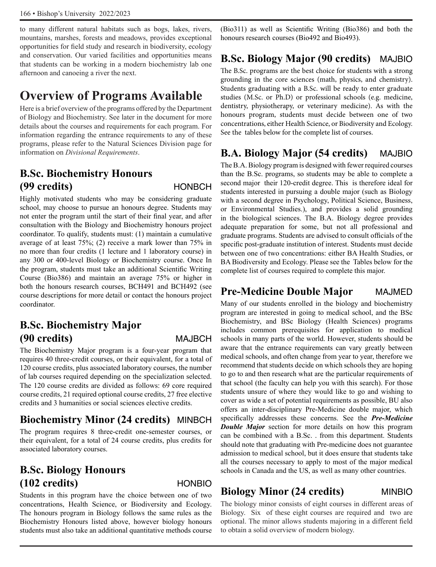to many different natural habitats such as bogs, lakes, rivers, mountains, marshes, forests and meadows, provides exceptional opportunities for field study and research in biodiversity, ecology and conservation. Our varied facilities and opportunities means that students can be working in a modern biochemistry lab one afternoon and canoeing a river the next.

## **Overview of Programs Available**

Here is a brief overview of the programs offered by the Department of Biology and Biochemistry. See later in the document for more details about the courses and requirements for each program. For information regarding the entrance requirements to any of these programs, please refer to the Natural Sciences Division page for information on *Divisional Requirements*.

### **B.Sc. Biochemistry Honours (99 credits)** HONBCH

Highly motivated students who may be considering graduate school, may choose to pursue an honours degree. Students may not enter the program until the start of their final year, and after consultation with the Biology and Biochemistry honours project coordinator. To qualify, students must: (1) maintain a cumulative average of at least 75%; (2) receive a mark lower than 75% in no more than four credits (1 lecture and 1 laboratory course) in any 300 or 400-level Biology or Biochemistry course. Once In the program, students must take an additional Scientific Writing Course (Bio386) and maintain an average 75% or higher in both the honours research courses, BCH491 and BCH492 (see course descriptions for more detail or contact the honours project coordinator.

### **B.Sc. Biochemistry Major (90 credits)** MAJBCH

The Biochemistry Major program is a four-year program that requires 40 three-credit courses, or their equivalent, for a total of 120 course credits, plus associated laboratory courses, the number of lab courses required depending on the specialization selected. The 120 course credits are divided as follows: 69 core required course credits, 21 required optional course credits, 27 free elective credits and 3 humanities or social sciences elective credits.

### **Biochemistry Minor (24 credits)** MINBCH

The program requires 8 three-credit one-semester courses, or their equivalent, for a total of 24 course credits, plus credits for associated laboratory courses.

### **B.Sc. Biology Honours (102 credits)** HONBIO

Students in this program have the choice between one of two concentrations, Health Science, or Biodiversity and Ecology. The honours program in Biology follows the same rules as the Biochemistry Honours listed above, however biology honours students must also take an additional quantitative methods course

(Bio311) as well as Scientific Writing (Bio386) and both the honours research courses (Bio492 and Bio493).

### **B.Sc. Biology Major (90 credits)** MAJBIO

The B.Sc. programs are the best choice for students with a strong grounding in the core sciences (math, physics, and chemistry). Students graduating with a B.Sc. will be ready to enter graduate studies (M.Sc. or Ph.D) or professional schools (e.g. medicine, dentistry, physiotherapy, or veterinary medicine). As with the honours program, students must decide between one of two concentrations, either Health Science, or Biodiversity and Ecology. See the tables below for the complete list of courses.

### **B.A. Biology Major (54 credits)** MAJBIO

The B.A. Biology program is designed with fewer required courses than the B.Sc. programs, so students may be able to complete a second major their 120-credit degree. This is therefore ideal for students interested in pursuing a double major (such as Biology with a second degree in Psychology, Political Science, Business, or Environmental Studies.), and provides a solid grounding in the biological sciences. The B.A. Biology degree provides adequate preparation for some, but not all professional and graduate programs. Students are advised to consult officials of the specific post-graduate institution of interest. Students must decide between one of two concentrations: either BA Health Studies, or BA Biodiversity and Ecology. Please see the Tables below for the complete list of courses required to complete this major.

### **Pre-Medicine Double Major** MAJMED

Many of our students enrolled in the biology and biochemistry program are interested in going to medical school, and the BSc Biochemistry, and BSc Biology (Health Sciences) programs includes common prerequisites for application to medical schools in many parts of the world. However, students should be aware that the entrance requirements can vary greatly between medical schools, and often change from year to year, therefore we recommend that students decide on which schools they are hoping to go to and then research what are the particular requirements of that school (the faculty can help you with this search). For those students unsure of where they would like to go and wishing to cover as wide a set of potential requirements as possible, BU also offers an inter-disciplinary Pre-Medicine double major, which specifically addresses these concerns. See the *Pre-Medicine Double Major* section for more details on how this program can be combined with a B.Sc. . from this department. Students should note that graduating with Pre-medicine does not guarantee admission to medical school, but it does ensure that students take all the courses necessary to apply to most of the major medical schools in Canada and the US, as well as many other countries.

### **Biology Minor (24 credits)** MINBIO

The biology minor consists of eight courses in different areas of Biology. Six of these eight courses are required and two are optional. The minor allows students majoring in a different field to obtain a solid overview of modern biology.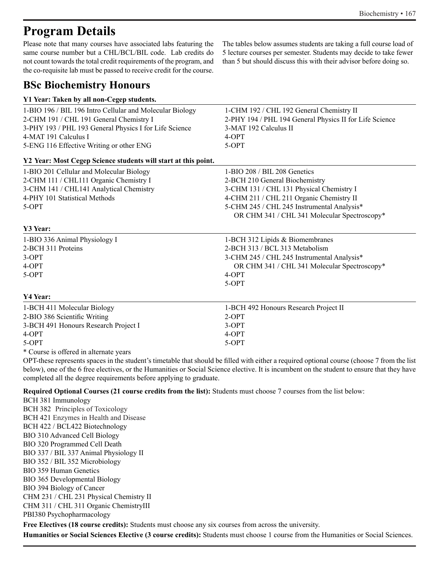## **Program Details**

Please note that many courses have associated labs featuring the same course number but a CHL/BCL/BIL code. Lab credits do not count towards the total credit requirements of the program, and the co-requisite lab must be passed to receive credit for the course.

The tables below assumes students are taking a full course load of 5 lecture courses per semester. Students may decide to take fewer than 5 but should discuss this with their advisor before doing so.

### **BSc Biochemistry Honours**

| Y1 Year: Taken by all non-Cegep students.                      |                                                         |
|----------------------------------------------------------------|---------------------------------------------------------|
| 1-BIO 196 / BIL 196 Intro Cellular and Molecular Biology       | 1-CHM 192 / CHL 192 General Chemistry II                |
| 2-CHM 191 / CHL 191 General Chemistry I                        | 2-PHY 194 / PHL 194 General Physics II for Life Science |
| 3-PHY 193 / PHL 193 General Physics I for Life Science         | 3-MAT 192 Calculus II                                   |
| 4-MAT 191 Calculus I                                           | 4-OPT                                                   |
| 5-ENG 116 Effective Writing or other ENG                       | $5-OPT$                                                 |
| Y2 Year: Most Cegep Science students will start at this point. |                                                         |
| 1-BIO 201 Cellular and Molecular Biology                       | 1-BIO 208 / BIL 208 Genetics                            |
| 2-CHM 111 / CHL111 Organic Chemistry I                         | 2-BCH 210 General Biochemistry                          |
| 3-CHM 141 / CHL141 Analytical Chemistry                        | 3-CHM 131 / CHL 131 Physical Chemistry I                |
| 4-PHY 101 Statistical Methods                                  | 4-CHM 211 / CHL 211 Organic Chemistry II                |
| $5-OPT$                                                        | 5-CHM 245 / CHL 245 Instrumental Analysis*              |
|                                                                | OR CHM 341 / CHL 341 Molecular Spectroscopy*            |
| <b>Y3 Year:</b>                                                |                                                         |
| 1-BIO 336 Animal Physiology I                                  | 1-BCH 312 Lipids & Biomembranes                         |
| 2-BCH 311 Proteins                                             | 2-BCH 313 / BCL 313 Metabolism                          |
| $3-OPT$                                                        | 3-CHM 245 / CHL 245 Instrumental Analysis*              |
| 4-OPT                                                          | OR CHM 341 / CHL 341 Molecular Spectroscopy*            |
| $5-OPT$                                                        | 4-OPT                                                   |
|                                                                | $5-OPT$                                                 |
| Y4 Year:                                                       |                                                         |
| 1-BCH 411 Molecular Biology                                    | 1-BCH 492 Honours Research Project II                   |
| 2-BIO 386 Scientific Writing                                   | $2-OPT$                                                 |
| 3-BCH 491 Honours Research Project I                           | $3-OPT$                                                 |
| 4-OPT                                                          | 4-OPT                                                   |
| 5-OPT                                                          | 5-OPT                                                   |
|                                                                |                                                         |

\* Course is offered in alternate years

OPT-these represents spaces in the student's timetable that should be filled with either a required optional course (choose 7 from the list below), one of the 6 free electives, or the Humanities or Social Science elective. It is incumbent on the student to ensure that they have completed all the degree requirements before applying to graduate.

**Required Optional Courses (21 course credits from the list):** Students must choose 7 courses from the list below:

BCH 381 Immunology BCH 382 Principles of Toxicology BCH 421 Enzymes in Health and Disease BCH 422 / BCL422 Biotechnology BIO 310 Advanced Cell Biology BIO 320 Programmed Cell Death BIO 337 / BIL 337 Animal Physiology II BIO 352 / BIL 352 Microbiology BIO 359 Human Genetics BIO 365 Developmental Biology BIO 394 Biology of Cancer CHM 231 / CHL 231 Physical Chemistry II CHM 311 / CHL 311 Organic ChemistryIII PBI380 Psychopharmacology

**Free Electives (18 course credits):** Students must choose any six courses from across the university.

**Humanities or Social Sciences Elective (3 course credits):** Students must choose 1 course from the Humanities or Social Sciences.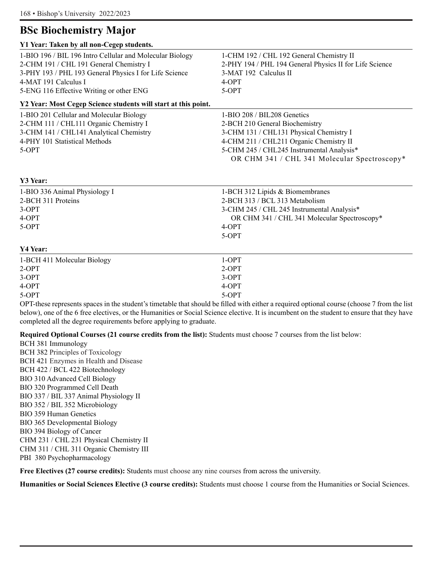### **BSc Biochemistry Major**

| Y1 Year: Taken by all non-Cegep students.                      |                                                         |
|----------------------------------------------------------------|---------------------------------------------------------|
| 1-BIO 196 / BIL 196 Intro Cellular and Molecular Biology       | 1-CHM 192 / CHL 192 General Chemistry II                |
| 2-CHM 191 / CHL 191 General Chemistry I                        | 2-PHY 194 / PHL 194 General Physics II for Life Science |
| 3-PHY 193 / PHL 193 General Physics I for Life Science         | 3-MAT 192 Calculus II                                   |
| 4-MAT 191 Calculus I                                           | 4-OPT                                                   |
| 5-ENG 116 Effective Writing or other ENG                       | 5-OPT                                                   |
| Y2 Year: Most Cegep Science students will start at this point. |                                                         |
| 1-BIO 201 Cellular and Molecular Biology                       | 1-BIO 208 / BIL208 Genetics                             |
| 2-CHM 111 / CHL111 Organic Chemistry I                         | 2-BCH 210 General Biochemistry                          |
| 3-CHM 141 / CHL141 Analytical Chemistry                        | 3-CHM 131 / CHL131 Physical Chemistry I                 |
| 4-PHY 101 Statistical Methods                                  | 4-CHM 211 / CHL211 Organic Chemistry II                 |
| $5-OPT$                                                        | 5-CHM 245 / CHL245 Instrumental Analysis*               |
|                                                                | OR CHM 341 / CHL 341 Molecular Spectroscopy*            |
| Y3 Year:                                                       |                                                         |
|                                                                |                                                         |
| 1-BIO 336 Animal Physiology I                                  | 1-BCH 312 Lipids & Biomembranes                         |
| 2-BCH 311 Proteins                                             | 2-BCH 313 / BCL 313 Metabolism                          |
| $3-OPT$                                                        | 3-CHM 245 / CHL 245 Instrumental Analysis*              |
| 4-OPT                                                          | OR CHM 341 / CHL 341 Molecular Spectroscopy*            |
| 5-OPT                                                          | 4-OPT                                                   |
|                                                                | 5-OPT                                                   |
| Y4 Year:                                                       |                                                         |
| 1-BCH 411 Molecular Biology                                    | $1-OPT$                                                 |
| $2-OPT$                                                        | $2-OPT$                                                 |
| $3-OPT$                                                        | $3-OPT$                                                 |
| $4-OPT$                                                        | $4-OPT$                                                 |
| 5-OPT                                                          | $5-OPT$                                                 |

OPT-these represents spaces in the student's timetable that should be filled with either a required optional course (choose 7 from the list below), one of the 6 free electives, or the Humanities or Social Science elective. It is incumbent on the student to ensure that they have completed all the degree requirements before applying to graduate.

**Required Optional Courses (21 course credits from the list):** Students must choose 7 courses from the list below:

BCH 381 Immunology BCH 382 Principles of Toxicology BCH 421 Enzymes in Health and Disease BCH 422 / BCL 422 Biotechnology BIO 310 Advanced Cell Biology BIO 320 Programmed Cell Death BIO 337 / BIL 337 Animal Physiology II BIO 352 / BIL 352 Microbiology BIO 359 Human Genetics BIO 365 Developmental Biology BIO 394 Biology of Cancer CHM 231 / CHL 231 Physical Chemistry II CHM 311 / CHL 311 Organic Chemistry III PBI 380 Psychopharmacology

**Free Electives (27 course credits):** Students must choose any nine courses from across the university.

**Humanities or Social Sciences Elective (3 course credits):** Students must choose 1 course from the Humanities or Social Sciences.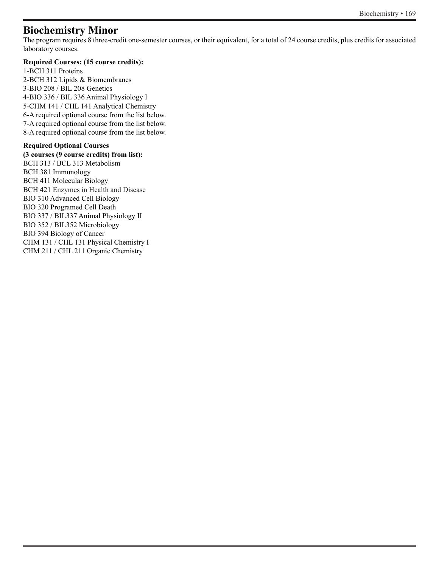### **Biochemistry Minor**

The program requires 8 three-credit one-semester courses, or their equivalent, for a total of 24 course credits, plus credits for associated laboratory courses.

### **Required Courses: (15 course credits):**

1-BCH 311 Proteins 2-BCH 312 Lipids & Biomembranes 3-BIO 208 / BIL 208 Genetics 4-BIO 336 / BIL 336 Animal Physiology I 5-CHM 141 / CHL 141 Analytical Chemistry 6-A required optional course from the list below. 7-A required optional course from the list below. 8-A required optional course from the list below.

### **Required Optional Courses**

**(3 courses (9 course credits) from list):** BCH 313 / BCL 313 Metabolism BCH 381 Immunology BCH 411 Molecular Biology BCH 421 Enzymes in Health and Disease BIO 310 Advanced Cell Biology BIO 320 Programed Cell Death BIO 337 / BIL337 Animal Physiology II BIO 352 / BIL352 Microbiology BIO 394 Biology of Cancer CHM 131 / CHL 131 Physical Chemistry I CHM 211 / CHL 211 Organic Chemistry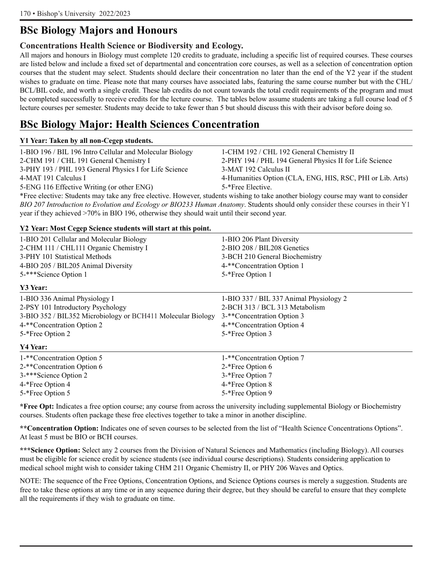### **BSc Biology Majors and Honours**

### **Concentrations Health Science or Biodiversity and Ecology.**

All majors and honours in Biology must complete 120 credits to graduate, including a specific list of required courses. These courses are listed below and include a fixed set of departmental and concentration core courses, as well as a selection of concentration option courses that the student may select. Students should declare their concentration no later than the end of the Y2 year if the student wishes to graduate on time. Please note that many courses have associated labs, featuring the same course number but with the CHL/ BCL/BIL code, and worth a single credit. These lab credits do not count towards the total credit requirements of the program and must be completed successfully to receive credits for the lecture course. The tables below assume students are taking a full course load of 5 lecture courses per semester. Students may decide to take fewer than 5 but should discuss this with their advisor before doing so.

### **BSc Biology Major: Health Sciences Concentration**

#### **Y1 Year: Taken by all non-Cegep students.**

| 1-BIO 196 / BIL 196 Intro Cellular and Molecular Biology                                                                           | 1-CHM 192 / CHL 192 General Chemistry II                   |
|------------------------------------------------------------------------------------------------------------------------------------|------------------------------------------------------------|
| 2-CHM 191 / CHL 191 General Chemistry I                                                                                            | 2-PHY 194 / PHL 194 General Physics II for Life Science    |
| 3-PHY 193 / PHL 193 General Physics I for Life Science                                                                             | 3-MAT 192 Calculus II                                      |
| 4-MAT 191 Calculus I                                                                                                               | 4-Humanities Option (CLA, ENG, HIS, RSC, PHI or Lib. Arts) |
| 5-ENG 116 Effective Writing (or other ENG)                                                                                         | 5-*Free Elective.                                          |
| *Free elective: Students may take any free elective. However, students wishing to take another biology course may want to consider |                                                            |

*BIO 207 Introduction to Evolution and Ecology or BIO233 Human Anatomy*. Students should only consider these courses in their Y1 year if they achieved >70% in BIO 196, otherwise they should wait until their second year.

**Y2 Year: Most Cegep Science students will start at this point.**

| 12 Ical, Most Cegep Stience students will start at this point. |                                         |
|----------------------------------------------------------------|-----------------------------------------|
| 1-BIO 201 Cellular and Molecular Biology                       | 1-BIO 206 Plant Diversity               |
| 2-CHM 111 / CHL111 Organic Chemistry I                         | 2-BIO 208 / BIL208 Genetics             |
| 3-PHY 101 Statistical Methods                                  | 3-BCH 210 General Biochemistry          |
| 4-BIO 205 / BIL205 Animal Diversity                            | 4-**Concentration Option 1              |
| 5-***Science Option 1                                          | 5-*Free Option 1                        |
| Y3 Year:                                                       |                                         |
| 1-BIO 336 Animal Physiology I                                  | 1-BIO 337 / BIL 337 Animal Physiology 2 |
| 2-PSY 101 Introductory Psychology                              | 2-BCH 313 / BCL 313 Metabolism          |
| 3-BIO 352 / BIL352 Microbiology or BCH411 Molecular Biology    | 3-**Concentration Option 3              |
| 4-**Concentration Option 2                                     | 4-**Concentration Option 4              |
| 5-*Free Option 2                                               | 5-*Free Option 3                        |
| Y4 Year:                                                       |                                         |
| 1-**Concentration Option 5                                     | 1-**Concentration Option 7              |
| 2-**Concentration Option 6                                     | 2-*Free Option 6                        |
| 3-***Science Option 2                                          | 3-*Free Option 7                        |
| 4-*Free Option 4                                               | 4-*Free Option 8                        |
| 5-*Free Option 5                                               | 5-*Free Option 9                        |

**\*Free Opt:** Indicates a free option course; any course from across the university including supplemental Biology or Biochemistry courses. Students often package these free electives together to take a minor in another discipline.

**\*\*Concentration Option:** Indicates one of seven courses to be selected from the list of "Health Science Concentrations Options". At least 5 must be BIO or BCH courses.

**\*\*\*Science Option:** Select any 2 courses from the Division of Natural Sciences and Mathematics (including Biology). All courses must be eligible for science credit by science students (see individual course descriptions). Students considering application to medical school might wish to consider taking CHM 211 Organic Chemistry II, or PHY 206 Waves and Optics.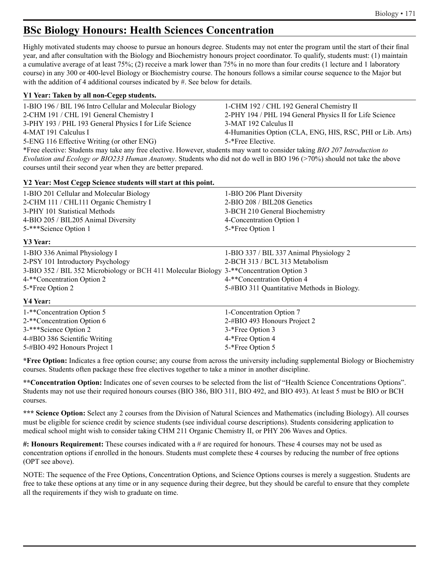### **BSc Biology Honours: Health Sciences Concentration**

Highly motivated students may choose to pursue an honours degree. Students may not enter the program until the start of their final year, and after consultation with the Biology and Biochemistry honours project coordinator. To qualify, students must: (1) maintain a cumulative average of at least 75%; (2) receive a mark lower than 75% in no more than four credits (1 lecture and 1 laboratory course) in any 300 or 400-level Biology or Biochemistry course. The honours follows a similar course sequence to the Major but with the addition of 4 additional courses indicated by #. See below for details.

| Y1 Year: Taken by all non-Cegep students.                                                                                  |                                                            |
|----------------------------------------------------------------------------------------------------------------------------|------------------------------------------------------------|
| 1-BIO 196 / BIL 196 Intro Cellular and Molecular Biology                                                                   | 1-CHM 192 / CHL 192 General Chemistry II                   |
| 2-CHM 191 / CHL 191 General Chemistry I                                                                                    | 2-PHY 194 / PHL 194 General Physics II for Life Science    |
| 3-PHY 193 / PHL 193 General Physics I for Life Science                                                                     | 3-MAT 192 Calculus II                                      |
| 4-MAT 191 Calculus I                                                                                                       | 4-Humanities Option (CLA, ENG, HIS, RSC, PHI or Lib. Arts) |
| 5-ENG 116 Effective Writing (or other ENG)                                                                                 | 5-*Free Elective.                                          |
| *Free elective: Students may take any free elective. However, students may want to consider taking BIO 207 Introduction to |                                                            |
| Evolution and Ecology or BIO233 Human Anatomy. Students who did not do well in BIO 196 (>70%) should not take the above    |                                                            |

courses until their second year when they are better prepared.

#### **Y2 Year: Most Cegep Science students will start at this point.**

5-#BIO 492 Honours Project 1 5-\*Free Option 5

| 1-BIO 201 Cellular and Molecular Biology                                                 | 1-BIO 206 Plant Diversity                   |
|------------------------------------------------------------------------------------------|---------------------------------------------|
| 2-CHM 111 / CHL111 Organic Chemistry I                                                   | 2-BIO 208 / BIL208 Genetics                 |
| 3-PHY 101 Statistical Methods                                                            | 3-BCH 210 General Biochemistry              |
| 4-BIO 205 / BIL205 Animal Diversity                                                      | 4-Concentration Option 1                    |
| 5-***Science Option 1                                                                    | 5-*Free Option 1                            |
| Y3 Year:                                                                                 |                                             |
| 1-BIO 336 Animal Physiology I                                                            | 1-BIO 337 / BIL 337 Animal Physiology 2     |
| 2-PSY 101 Introductory Psychology                                                        | 2-BCH 313 / BCL 313 Metabolism              |
| 3-BIO 352 / BIL 352 Microbiology or BCH 411 Molecular Biology 3-**Concentration Option 3 |                                             |
| 4-**Concentration Option 2                                                               | 4-**Concentration Option 4                  |
| 5-*Free Option 2                                                                         | 5-#BIO 311 Quantitative Methods in Biology. |
| Y4 Year:                                                                                 |                                             |
| 1-**Concentration Option 5                                                               | 1-Concentration Option 7                    |
| 2-**Concentration Option 6                                                               | 2-#BIO 493 Honours Project 2                |
| 3-***Science Option 2                                                                    | 3-*Free Option 3                            |
| 4-#BIO 386 Scientific Writing                                                            | 4-*Free Option 4                            |

**\*Free Option:** Indicates a free option course; any course from across the university including supplemental Biology or Biochemistry courses. Students often package these free electives together to take a minor in another discipline.

**\*\*Concentration Option:** Indicates one of seven courses to be selected from the list of "Health Science Concentrations Options". Students may not use their required honours courses (BIO 386, BIO 311, BIO 492, and BIO 493). At least 5 must be BIO or BCH courses.

**\*\*\* Science Option:** Select any 2 courses from the Division of Natural Sciences and Mathematics (including Biology). All courses must be eligible for science credit by science students (see individual course descriptions). Students considering application to medical school might wish to consider taking CHM 211 Organic Chemistry II, or PHY 206 Waves and Optics.

**#: Honours Requirement:** These courses indicated with a # are required for honours. These 4 courses may not be used as concentration options if enrolled in the honours. Students must complete these 4 courses by reducing the number of free options (OPT see above).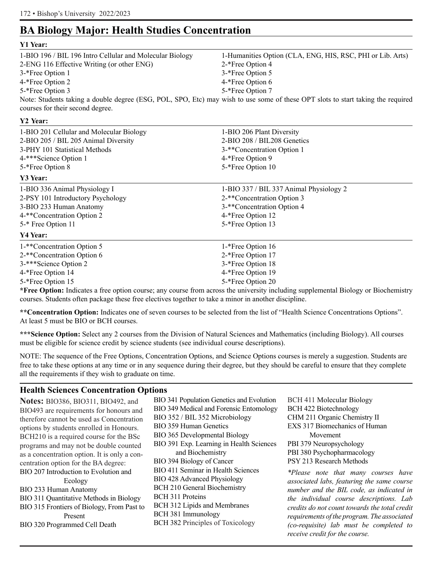### **BA Biology Major: Health Studies Concentration**

### **Y1 Year:** 1-BIO 196 / BIL 196 Intro Cellular and Molecular Biology 1-Humanities Option (CLA, ENG, HIS, RSC, PHI or Lib. Arts) 2-ENG 116 Effective Writing (or other ENG) 2-\*Free Option 4 3<sup>-\*</sup>Free Option 1 3<sup>-\*</sup>Free Option 5 4-\*Free Option 2 4-\*Free Option 6 5<sup>-\*</sup>Free Option 3 5<sup>-\*</sup>Free Option 7 Note: Students taking a double degree (ESG, POL, SPO, Etc) may wish to use some of these OPT slots to start taking the required courses for their second degree.

#### **Y2 Year:**

| 1-BIO 201 Cellular and Molecular Biology<br>2-BIO 205 / BIL 205 Animal Diversity<br>3-PHY 101 Statistical Methods<br>4-***Science Option 1                                | 1-BIO 206 Plant Diversity<br>2-BIO 208 / BIL208 Genetics<br>3-**Concentration Option 1<br>4-*Free Option 9                                    |  |
|---------------------------------------------------------------------------------------------------------------------------------------------------------------------------|-----------------------------------------------------------------------------------------------------------------------------------------------|--|
| 5-*Free Option 8                                                                                                                                                          | 5-*Free Option 10                                                                                                                             |  |
| Y3 Year:                                                                                                                                                                  |                                                                                                                                               |  |
| 1-BIO 336 Animal Physiology I<br>2-PSY 101 Introductory Psychology<br>3-BIO 233 Human Anatomy<br>4-**Concentration Option 2<br>5 <sup>-*</sup> Free Option 11<br>Y4 Year: | 1-BIO 337 / BIL 337 Animal Physiology 2<br>2-**Concentration Option 3<br>3-**Concentration Option 4<br>4-*Free Option 12<br>5-*Free Option 13 |  |
| 1-**Concentration Option 5<br>2-**Concentration Option 6<br>3-***Science Option 2<br>4-*Free Option 14<br>5-*Free Option 15                                               | 1-*Free Option 16<br>2-*Free Option 17<br>3-*Free Option 18<br>4-*Free Option 19<br>5-*Free Option 20                                         |  |

**\*Free Option:** Indicates a free option course; any course from across the university including supplemental Biology or Biochemistry courses. Students often package these free electives together to take a minor in another discipline.

**\*\*Concentration Option:** Indicates one of seven courses to be selected from the list of "Health Science Concentrations Options". At least 5 must be BIO or BCH courses.

**\*\*\*Science Option:** Select any 2 courses from the Division of Natural Sciences and Mathematics (including Biology). All courses must be eligible for science credit by science students (see individual course descriptions).

NOTE: The sequence of the Free Options, Concentration Options, and Science Options courses is merely a suggestion. Students are free to take these options at any time or in any sequence during their degree, but they should be careful to ensure that they complete all the requirements if they wish to graduate on time.

### **Health Sciences Concentration Options**

**Notes:** BIO386, BIO311, BIO492, and BIO493 are requirements for honours and therefore cannot be used as Concentration options by students enrolled in Honours. BCH210 is a required course for the BSc programs and may not be double counted as a concentration option. It is only a concentration option for the BA degree: BIO 207 Introduction to Evolution and Ecology BIO 233 Human Anatomy BIO 311 Quantitative Methods in Biology BIO 315 Frontiers of Biology, From Past to Present BIO 320 Programmed Cell Death

BIO 341 Population Genetics and Evolution BIO 349 Medical and Forensic Entomology BIO 352 / BIL 352 Microbiology BIO 359 Human Genetics BIO 365 Developmental Biology BIO 391 Exp. Learning in Health Sciences and Biochemistry BIO 394 Biology of Cancer BIO 411 Seminar in Health Sciences BIO 428 Advanced Physiology BCH 210 General Biochemistry BCH 311 Proteins BCH 312 Lipids and Membranes BCH 381 Immunology BCH 382 Principles of Toxicology

BCH 411 Molecular Biology BCH 422 Biotechnology CHM 211 Organic Chemistry II EXS 317 Biomechanics of Human Movement PBI 379 Neuropsychology PBI 380 Psychopharmacology PSY 213 Research Methods

*\*Please note that many courses have associated labs, featuring the same course number and the BIL code, as indicated in the individual course descriptions. Lab credits do not count towards the total credit requirements of the program. The associated (co-requisite) lab must be completed to receive credit for the course.*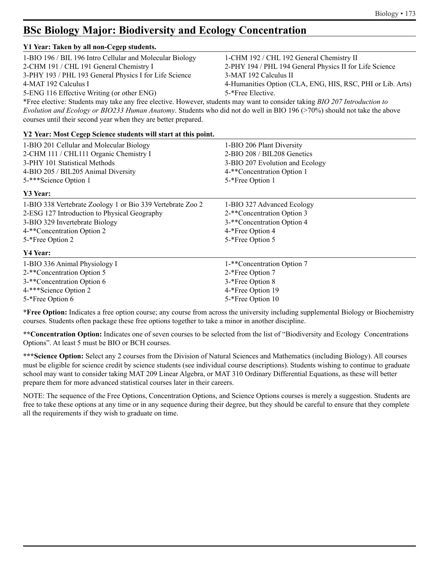### **BSc Biology Major: Biodiversity and Ecology Concentration**

#### **Y1 Year: Taken by all non-Cegep students.**

| 1-BIO 196 / BIL 196 Intro Cellular and Molecular Biology                                                                   | 1-CHM 192 / CHL 192 General Chemistry II                   |
|----------------------------------------------------------------------------------------------------------------------------|------------------------------------------------------------|
| 2-CHM 191 / CHL 191 General Chemistry I                                                                                    | 2-PHY 194 / PHL 194 General Physics II for Life Science    |
| 3-PHY 193 / PHL 193 General Physics I for Life Science                                                                     | 3-MAT 192 Calculus II                                      |
| 4-MAT 192 Calculus I                                                                                                       | 4-Humanities Option (CLA, ENG, HIS, RSC, PHI or Lib. Arts) |
| 5-ENG 116 Effective Writing (or other ENG)                                                                                 | 5-*Free Elective.                                          |
| *Free elective: Students may take any free elective. However, students may want to consider taking BIO 207 Introduction to |                                                            |
| Evolution and Ecology or BIO233 Human Anatomy. Students who did not do well in BIO 196 (>70%) should not take the above    |                                                            |

courses until their second year when they are better prepared.

#### **Y2 Year: Most Cegep Science students will start at this point.**

| 1-BIO 201 Cellular and Molecular Biology                   | 1-BIO 206 Plant Diversity       |
|------------------------------------------------------------|---------------------------------|
| 2-CHM 111 / CHL111 Organic Chemistry I                     | 2-BIO 208 / BIL208 Genetics     |
| 3-PHY 101 Statistical Methods                              | 3-BIO 207 Evolution and Ecology |
| 4-BIO 205 / BIL205 Animal Diversity                        | 4-**Concentration Option 1      |
| 5-***Science Option 1                                      | 5-*Free Option 1                |
| Y3 Year:                                                   |                                 |
| 1-BIO 338 Vertebrate Zoology 1 or Bio 339 Vertebrate Zoo 2 | 1-BIO 327 Advanced Ecology      |
| 2-ESG 127 Introduction to Physical Geography               | 2-**Concentration Option 3      |
| 3-BIO 329 Invertebrate Biology                             | 3-**Concentration Option 4      |
| 4-**Concentration Option 2                                 | 4-*Free Option 4                |
| 5-*Free Option 2                                           | 5-*Free Option 5                |
| Y4 Year:                                                   |                                 |
| 1-BIO 336 Animal Physiology I                              | 1-**Concentration Option 7      |
| 2-**Concentration Option 5                                 | 2-*Free Option 7                |
| 3-**Concentration Option 6                                 | 3-*Free Option 8                |
| 4-***Science Option 2                                      | 4-*Free Option 19               |
| 5-*Free Option 6                                           | 5-*Free Option 10               |

**\*Free Option:** Indicates a free option course; any course from across the university including supplemental Biology or Biochemistry courses. Students often package these free options together to take a minor in another discipline.

**\*\*Concentration Option:** Indicates one of seven courses to be selected from the list of "Biodiversity and Ecology Concentrations Options". At least 5 must be BIO or BCH courses.

**\*\*\*Science Option:** Select any 2 courses from the Division of Natural Sciences and Mathematics (including Biology). All courses must be eligible for science credit by science students (see individual course descriptions). Students wishing to continue to graduate school may want to consider taking MAT 209 Linear Algebra, or MAT 310 Ordinary Differential Equations, as these will better prepare them for more advanced statistical courses later in their careers.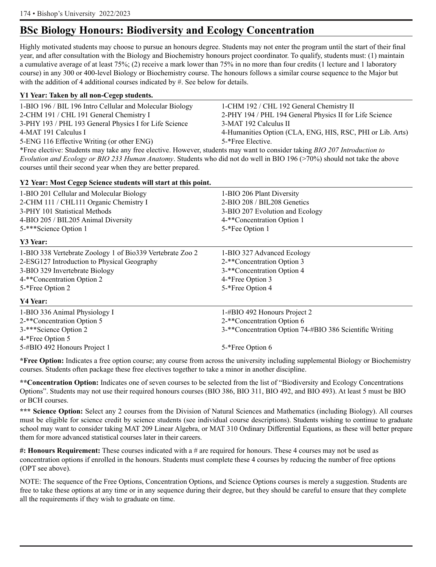### **BSc Biology Honours: Biodiversity and Ecology Concentration**

Highly motivated students may choose to pursue an honours degree. Students may not enter the program until the start of their final year, and after consultation with the Biology and Biochemistry honours project coordinator. To qualify, students must: (1) maintain a cumulative average of at least 75%; (2) receive a mark lower than 75% in no more than four credits (1 lecture and 1 laboratory course) in any 300 or 400-level Biology or Biochemistry course. The honours follows a similar course sequence to the Major but with the addition of 4 additional courses indicated by #. See below for details.

| Y1 Year: Taken by all non-Cegep students.                                                                                                                                                                                      |                                                                                                                          |
|--------------------------------------------------------------------------------------------------------------------------------------------------------------------------------------------------------------------------------|--------------------------------------------------------------------------------------------------------------------------|
| 1-BIO 196 / BIL 196 Intro Cellular and Molecular Biology                                                                                                                                                                       | 1-CHM 192 / CHL 192 General Chemistry II                                                                                 |
| 2-CHM 191 / CHL 191 General Chemistry I                                                                                                                                                                                        | 2-PHY 194 / PHL 194 General Physics II for Life Science                                                                  |
| 3-PHY 193 / PHL 193 General Physics I for Life Science                                                                                                                                                                         | 3-MAT 192 Calculus II                                                                                                    |
| 4-MAT 191 Calculus I                                                                                                                                                                                                           | 4-Humanities Option (CLA, ENG, HIS, RSC, PHI or Lib. Arts)                                                               |
| 5-ENG 116 Effective Writing (or other ENG)                                                                                                                                                                                     | 5-*Free Elective.                                                                                                        |
| *Free elective: Students may take any free elective. However, students may want to consider taking BIO 207 Introduction to                                                                                                     |                                                                                                                          |
|                                                                                                                                                                                                                                | Evolution and Ecology or BIO 233 Human Anatomy. Students who did not do well in BIO 196 (>70%) should not take the above |
| $\sim$ 1 and 1 and 1 and 1 and 1 and 1 and 1 and 1 and 1 and 1 and 1 and 1 and 1 and 1 and 1 and 1 and 1 and 1 and 1 and 1 and 1 and 1 and 1 and 1 and 1 and 1 and 1 and 1 and 1 and 1 and 1 and 1 and 1 and 1 and 1 and 1 and |                                                                                                                          |

courses until their second year when they are better prepared.

### **Y2 Year: Most Cegep Science students will start at this point.**

| 1-BIO 201 Cellular and Molecular Biology                  | 1-BIO 206 Plant Diversity                               |
|-----------------------------------------------------------|---------------------------------------------------------|
| 2-CHM 111 / CHL111 Organic Chemistry I                    | 2-BIO 208 / BIL208 Genetics                             |
| 3-PHY 101 Statistical Methods                             | 3-BIO 207 Evolution and Ecology                         |
| 4-BIO 205 / BIL205 Animal Diversity                       | 4-**Concentration Option 1                              |
| 5-***Science Option 1                                     | 5-*Fee Option 1                                         |
| Y3 Year:                                                  |                                                         |
| 1-BIO 338 Vertebrate Zoology 1 of Bio339 Vertebrate Zoo 2 | 1-BIO 327 Advanced Ecology                              |
| 2-ESG127 Introduction to Physical Geography               | 2-**Concentration Option 3                              |
| 3-BIO 329 Invertebrate Biology                            | 3-**Concentration Option 4                              |
| 4-**Concentration Option 2                                | 4-*Free Option 3                                        |
| 5-*Free Option 2                                          | 5-*Free Option 4                                        |
| Y4 Year:                                                  |                                                         |
| 1-BIO 336 Animal Physiology I                             | 1-#BIO 492 Honours Project 2                            |
| 2-**Concentration Option 5                                | 2-**Concentration Option 6                              |
| 3-***Science Option 2                                     | 3-**Concentration Option 74-#BIO 386 Scientific Writing |
| 4-*Free Option 5                                          |                                                         |
| 5-#BIO 492 Honours Project 1                              | 5-*Free Option 6                                        |

**\*Free Option:** Indicates a free option course; any course from across the university including supplemental Biology or Biochemistry courses. Students often package these free electives together to take a minor in another discipline.

**\*\*Concentration Option:** Indicates one of seven courses to be selected from the list of "Biodiversity and Ecology Concentrations Options". Students may not use their required honours courses (BIO 386, BIO 311, BIO 492, and BIO 493). At least 5 must be BIO or BCH courses.

**\*\*\* Science Option:** Select any 2 courses from the Division of Natural Sciences and Mathematics (including Biology). All courses must be eligible for science credit by science students (see individual course descriptions). Students wishing to continue to graduate school may want to consider taking MAT 209 Linear Algebra, or MAT 310 Ordinary Differential Equations, as these will better prepare them for more advanced statistical courses later in their careers.

**#: Honours Requirement:** These courses indicated with a # are required for honours. These 4 courses may not be used as concentration options if enrolled in the honours. Students must complete these 4 courses by reducing the number of free options (OPT see above).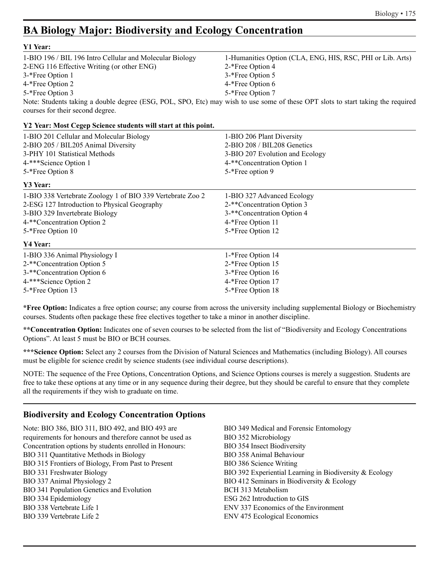### **BA Biology Major: Biodiversity and Ecology Concentration**

| Y1 Year:                                                 |                                                                                                                                 |
|----------------------------------------------------------|---------------------------------------------------------------------------------------------------------------------------------|
| 1-BIO 196 / BIL 196 Intro Cellular and Molecular Biology | 1-Humanities Option (CLA, ENG, HIS, RSC, PHI or Lib. Arts)                                                                      |
| 2-ENG 116 Effective Writing (or other ENG)               | 2-*Free Option 4                                                                                                                |
| 3-*Free Option 1                                         | 3-*Free Option 5                                                                                                                |
| 4-*Free Option 2                                         | 4-*Free Option 6                                                                                                                |
| 5-*Free Option 3                                         | 5-*Free Option 7                                                                                                                |
| courses for their second degree.                         | Note: Students taking a double degree (ESG, POL, SPO, Etc) may wish to use some of these OPT slots to start taking the required |

| Y2 Year: Most Cegep Science students will start at this point. |  |  |  |  |
|----------------------------------------------------------------|--|--|--|--|
|----------------------------------------------------------------|--|--|--|--|

| 1-BIO 201 Cellular and Molecular Biology                   | 1-BIO 206 Plant Diversity       |  |
|------------------------------------------------------------|---------------------------------|--|
| 2-BIO 205 / BIL205 Animal Diversity                        | 2-BIO 208 / BIL208 Genetics     |  |
| 3-PHY 101 Statistical Methods                              | 3-BIO 207 Evolution and Ecology |  |
| 4-***Science Option 1                                      | 4-**Concentration Option 1      |  |
| 5-*Free Option 8                                           | 5-*Free option 9                |  |
| Y3 Year:                                                   |                                 |  |
| 1-BIO 338 Vertebrate Zoology 1 of BIO 339 Vertebrate Zoo 2 | 1-BIO 327 Advanced Ecology      |  |
| 2-ESG 127 Introduction to Physical Geography               | 2-**Concentration Option 3      |  |
| 3-BIO 329 Invertebrate Biology                             | 3-**Concentration Option 4      |  |
| 4-**Concentration Option 2                                 | 4-*Free Option 11               |  |
| 5-*Free Option 10                                          | 5-*Free Option 12               |  |
| Y4 Year:                                                   |                                 |  |
| 1-BIO 336 Animal Physiology I                              | 1-*Free Option 14               |  |
| 2-**Concentration Option 5                                 | 2-*Free Option 15               |  |
| 3-**Concentration Option 6                                 | 3-*Free Option 16               |  |
| 4-***Science Option 2                                      | 4-*Free Option 17               |  |
| 5-*Free Option 13                                          | 5-*Free Option 18               |  |
|                                                            |                                 |  |

**\*Free Option:** Indicates a free option course; any course from across the university including supplemental Biology or Biochemistry courses. Students often package these free electives together to take a minor in another discipline.

**\*\*Concentration Option:** Indicates one of seven courses to be selected from the list of "Biodiversity and Ecology Concentrations Options". At least 5 must be BIO or BCH courses.

**\*\*\*Science Option:** Select any 2 courses from the Division of Natural Sciences and Mathematics (including Biology). All courses must be eligible for science credit by science students (see individual course descriptions).

NOTE: The sequence of the Free Options, Concentration Options, and Science Options courses is merely a suggestion. Students are free to take these options at any time or in any sequence during their degree, but they should be careful to ensure that they complete all the requirements if they wish to graduate on time.

### **Biodiversity and Ecology Concentration Options**

Note: BIO 386, BIO 311, BIO 492, and BIO 493 are requirements for honours and therefore cannot be used as Concentration options by students enrolled in Honours: BIO 311 Quantitative Methods in Biology BIO 315 Frontiers of Biology, From Past to Present BIO 331 Freshwater Biology BIO 337 Animal Physiology 2 BIO 341 Population Genetics and Evolution BIO 334 Epidemiology BIO 338 Vertebrate Life 1 BIO 339 Vertebrate Life 2

BIO 349 Medical and Forensic Entomology BIO 352 Microbiology BIO 354 Insect Biodiversity BIO 358 Animal Behaviour BIO 386 Science Writing BIO 392 Experiential Learning in Biodiversity & Ecology BIO 412 Seminars in Biodiversity & Ecology BCH 313 Metabolism ESG 262 Introduction to GIS ENV 337 Economics of the Environment ENV 475 Ecological Economics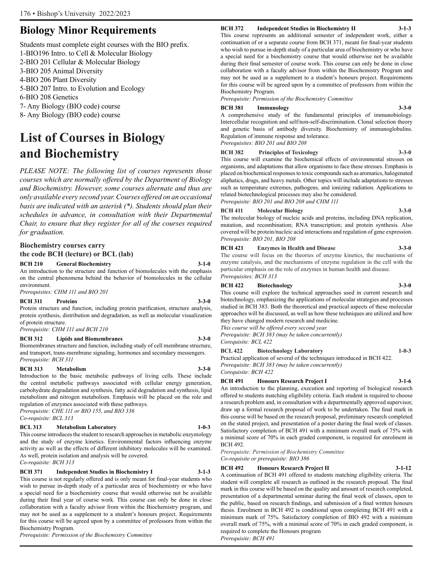### **Biology Minor Requirements**

Students must complete eight courses with the BIO prefix. 1-BIO196 Intro. to Cell & Molecular Biology 2-BIO 201 Cellular & Molecular Biology 3-BIO 205 Animal Diversity 4-BIO 206 Plant Diversity 5-BIO 207 Intro. to Evolution and Ecology 6-BIO 208 Genetics 7- Any Biology (BIO code) course 8- Any Biology (BIO code) course

## **List of Courses in Biology and Biochemistry**

*PLEASE NOTE: The following list of courses represents those courses which are normally offered by the Department of Biology and Biochemistry. However, some courses alternate and thus are only available every second year. Courses offered on an occasional basis are indicated with an asterisk (\*). Students should plan their schedules in advance, in consultation with their Departmental Chair, to ensure that they register for all of the courses required for graduation.*

#### **Biochemistry courses carry the code BCH (lecture) or BCL (lab)**

**BCH 210 General Biochemistry 3-1-0**

An introduction to the structure and function of biomolecules with the emphasis on the central phenomena behind the behavior of biomolecules in the cellular environment.

*Prerequisites: CHM 111 and BIO 201*

#### **BCH 311 Proteins 3-3-0**

Protein structure and function, including protein purification, structure analysis, protein synthesis, distribution and degradation, as well as molecular visualization of protein structure.

*Prerequisite: CHM 111 and BCH 210*

#### **BCH 312 Lipids and Biomembranes 3-3-0**

Biomembranes structure and function, including study of cell membrane structure, and transport, trans-membrane signaling, hormones and secondary messengers. *Prerequisite: BCH 311*

#### **BCH 313 Metabolism 3-3-0**

Introduction to the basic metabolic pathways of living cells. These include the central metabolic pathways associated with cellular energy generation, carbohydrate degradation and synthesis, fatty acid degradation and synthesis, lipid metabolism and nitrogen metabolism. Emphasis will be placed on the role and regulation of enzymes associated with these pathways.

*Prerequisite: CHE 111 or BIO 155, and BIO 336 Co-requisite: BCL 313*

#### **BCL 313 Metabolism Laboratory 1-0-3**

This course introduces the student to research approaches in metabolic enzymology and the study of enzyme kinetics. Environmental factors influencing enzyme activity as well as the effects of different inhibitory molecules will be examined. As well, protein isolation and analysis will be covered.

*Co-requisite: BCH 313*

#### **BCH 371 Independent Studies in Biochemistry I 3-1-3**

This course is not regularly offered and is only meant for final-year students who wish to pursue in-depth study of a particular area of biochemistry or who have a special need for a biochemistry course that would otherwise not be available during their final year of course work. This course can only be done in close collaboration with a faculty advisor from within the Biochemistry program, and may not be used as a supplement to a student's honours project. Requirements for this course will be agreed upon by a committee of professors from within the Biochemistry Program.

*Prerequisite: Permission of the Biochemistry Committee*

#### **BCH 372 Independent Studies in Biochemistry II 3-1-3**

This course represents an additional semester of independent work, either a continuation of or a separate course from BCH 371, meant for final-year students who wish to pursue in-depth study of a particular area of biochemistry or who have a special need for a biochemistry course that would otherwise not be available during their final semester of course work. This course can only be done in close collaboration with a faculty advisor from within the Biochemistry Program and may not be used as a supplement to a student's honours project. Requirements for this course will be agreed upon by a committee of professors from within the Biochemistry Program.

*Prerequisite: Permission of the Biochemistry Committee*

#### **BCH 381 Immunology 3-3-0**

A comprehensive study of the fundamental principles of immunobiology. Intercellular recognition and self/non-self-discrimination. Clonal selection theory and genetic basis of antibody diversity. Biochemistry of immunoglobulins. Regulation of immune response and tolerance. *Prerequisites: BIO 201 and BIO 208*

#### **BCH 382 Principles of Toxicology 3-3-0**

This course will examine the biochemical effects of environmental stresses on organisms, and adaptations that allow organisms to face these stresses. Emphasis is placed on biochemical responses to toxic compounds such as aromatics, halogenated aliphatics, drugs, and heavy metals. Other topics will include adaptations to stresses such as temperature extremes, pathogens, and ionizing radiation. Applications to related biotechnological processes may also be considered. *Prerequisite: BIO 201 and BIO 208 and CHM 111*

#### **BCH 411 Molecular Biology 3-3-0**

The molecular biology of nucleic acids and proteins, including DNA replication, mutation, and recombination; RNA transcription; and protein synthesis. Also covered will be protein/nucleic acid interactions and regulation of gene expression. *Prerequisite: BIO 201, BIO 208*

#### **BCH 421 Enzymes in Health and Disease 3-3-0**

The course will focus on the theories of enzyme kinetics, the mechanisms of enzyme catalysis, and the mechanisms of enzyme regulation in the cell with the particular emphasis on the role of enzymes in human health and disease. *Prerequisites: BCH 313*

#### **BCH 422 Biotechnology 3-3-0**

This course will explore the technical approaches used in current research and biotechnology, emphasizing the applications of molecular strategies and processes studied in BCH 383. Both the theoretical and practical aspects of these molecular approaches will be discussed, as well as how these techniques are utilized and how they have changed modern research and medicine.

*This course will be offered every second year. Prerequisite: BCH 383 (may be taken concurrently)*

*Corequisite: BCL 422*

#### **BCL 422 Biotechnology Laboratory 1-0-3**

Practical application of several of the techniques introduced in BCH 422. *Prerequisite: BCH 383 (may be taken concurrently)*

*Corequisite: BCH 422*

#### **BCH 491 Honours Research Project I 3-1-6**

An introduction to the planning, execution and reporting of biological research offered to students matching eligibility criteria. Each student is required to choose a research problem and, in consultation with a departmentally approved supervisor, draw up a formal research proposal of work to be undertaken. The final mark in this course will be based on the research proposal, preliminary research completed on the stated project, and presentation of a poster during the final week of classes. Satisfactory completion of BCH 491 with a minimum overall mark of 75% with a minimal score of 70% in each graded component, is required for enrolment in BCH 492.

*Prerequisite: Permission of Biochemistry Committee Co-requisite or prerequisite: BIO 386*

### **BCH 492 Honours Research Project II 3-1-12**

A continuation of BCH 491 offered to students matching eligibility criteria. The student will complete all research as outlined in the research proposal. The final mark in this course will be based on the quality and amount of research completed, presentation of a departmental seminar during the final week of classes, open to the public, based on research findings, and submission of a final written honours thesis. Enrolment in BCH 492 is conditional upon completing BCH 491 with a minimum mark of 75%. Satisfactory completion of BIO 492 with a minimum overall mark of 75%, with a minimal score of 70% in each graded component, is required to complete the Honours program

*Prerequisite: BCH 491*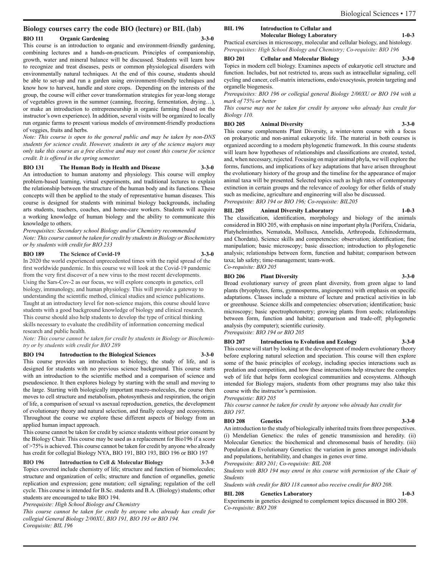#### **Biology courses carry the code BIO (lecture) or BIL (lab)**

#### **BIO 111 Organic Gardening 3-3-0**

This course is an introduction to organic and environment-friendly gardening, combining lectures and a hands-on-practicum. Principles of companionship, growth, water and mineral balance will be discussed. Students will learn how to recognize and treat diseases, pests or common physiological disorders with environmentally natural techniques. At the end of this course, students should be able to set-up and run a garden using environment-friendly techniques and know how to harvest, handle and store crops. Depending on the interests of the group, the course will either cover transformation strategies for year-long storage of vegetables grown in the summer (canning, freezing, fermentation, drying…), or make an introduction to entrepreneurship in organic farming (based on the instructor's own experience). In addition, several visits will be organized to locally run organic farms to present various models of environment-friendly productions of veggies, fruits and herbs.

*Note: This course is open to the general public and may be taken by non-DNS students for science credit. However, students in any of the science majors may only take this course as a free elective and may not count this course for science credit. It is offered in the spring semester.*

#### **BIO 131 The Human Body in Health and Disease 3-3-0**

An introduction to human anatomy and physiology. This course will employ problem-based learning, virtual experiments, and traditional lectures to explain the relationship between the structure of the human body and its functions. These concepts will then be applied to the study of representative human diseases. This course is designed for students with minimal biology backgrounds, including arts students, teachers, coaches, and home-care workers. Students will acquire a working knowledge of human biology and the ability to communicate this knowledge to others.

*Prerequisites: Secondary school Biology and/or Chemistry recommended Note: This course cannot be taken for credit by students in Biology or Biochemistry or by students with credit for BIO 233*

#### **BIO 189 The Science of Covid-19 3-3-0**

In 2020 the world experienced unprecedented times with the rapid spread of the first worldwide pandemic. In this course we will look at the Covid-19 pandemic from the very first discover of a new virus to the most recent developments. Using the Sars-Cov-2 as our focus, we will explore concepts in genetics, cell biology, immunology, and human physiology. This will provide a gateway to understanding the scientific method, clinical studies and science publications. Taught at an introductory level for non-science majors, this course should leave students with a good background knowledge of biology and clinical research. This course should also help students to develop the type of critical thinking skills necessary to evaluate the credibility of information concerning medical research and public health.

*Note: This course cannot be taken for credit by students in Biology or Biochemistry or by students with credit for BIO 289*

**BIO 194 Introduction to the Biological Sciences 3-3-0**

This course provides an introduction to biology, the study of life, and is designed for students with no previous science background. This course starts with an introduction to the scientific method and a comparison of science and pseudoscience. It then explores biology by starting with the small and moving to the large. Starting with biologically important macro-molecules, the course then moves to cell structure and metabolism, photosynthesis and respiration, the origin of life, a comparison of sexual vs asexual reproduction, genetics, the development of evolutionary theory and natural selection, and finally ecology and ecosystems. Throughout the course we explore these different aspects of biology from an applied human impact approach.

This course cannot be taken for credit by science students without prior consent by the Biology Chair. This course may be used as a replacement for Bio196 if a score of >75% is achieved. This course cannot be taken for credit by anyone who already has credit for collegial Biology NYA, BIO 191, BIO 193, BIO 196 or BIO 197

#### **BIO 196 Introduction to Cell & Molecular Biology 3-3-0**

Topics covered include chemistry of life; structure and function of biomolecules; structure and organization of cells; structure and function of organelles, genetic replication and expression; gene mutation; cell signaling; regulation of the cell cycle. This course is intended for B.Sc. students and B.A. (Biology) students; other students are encouraged to take BIO 194.

*Prerequisite: High School Biology and Chemistry*

*This course cannot be taken for credit by anyone who already has credit for collegial General Biology 2/00XU, BIO 191, BIO 193 or BIO 194. Corequisite: BIL 196*

#### **BIL 196 Introduction to Cellular and Molecular Biology Laboratory 1-0-3**

Practical exercises in microscopy, molecular and cellular biology, and histology. *Prerequisites: High School Biology and Chemistry; Co-requisite: BIO 196*

#### **BIO 201 Cellular and Molecular Biology 3-3-0**

Topics in modern cell biology. Examines aspects of eukaryotic cell structure and function. Includes, but not restricted to, areas such as intracellular signaling, cell cycling and cancer, cell-matrix interactions, endo/exocytosis, protein targeting and organelle biogenesis.

*Prerequisites: BIO 196 or collegial general Biology 2/00XU or BIO 194 with a mark of 75% or better*

*This course may not be taken for credit by anyone who already has credit for Biology 110.*

**BIO 205 Animal Diversity 3-3-0**

This course complements Plant Diversity, a winter-term course with a focus on prokaryotic and non-animal eukaryotic life. The material in both courses is organized according to a modern phylogenetic framework. In this course students will learn how hypotheses of relationships and classifications are created, tested, and, when necessary, rejected. Focusing on major animal phyla, we will explore the forms, functions, and implications of key adaptations that have arisen throughout the evolutionary history of the group and the timeline for the appearance of major animal taxa will be presented. Selected topics such as high rates of contemporary extinction in certain groups and the relevance of zoology for other fields of study such as medicine, agriculture and engineering will also be discussed. *Prerequisite: BIO 194 or BIO 196; Co-requisite: BIL205*

#### **BIL 205 Animal Diversity Laboratory 1-0-3**

The classification, identification, morphology and biology of the animals considered in BIO 205, with emphasis on nine important phyla (Porifera, Cnidaria, Platyhelminthes, Nematoda, Mollusca, Annelida, Arthropoda, Echinodermata, and Chordata). Science skills and competencies: observation; identification; fine manipulation; basic microscopy; basic dissection; introduction to phylogenetic analysis; relationships between form, function and habitat; comparison between taxa; lab safety; time-management; team-work. *Co-requisite: BIO 205* 

#### **BIO 206 Plant Diversity 3-3-0**

Broad evolutionary survey of green plant diversity, from green algae to land plants (bryophytes, ferns, gymnosperms, angiosperms) with emphasis on specific adaptations. Classes include a mixture of lecture and practical activities in lab or greenhouse. Science skills and competencies: observation; identification; basic microscopy; basic spectrophotometry; growing plants from seeds; relationships between form, function and habitat; comparison and trade-off; phylogenetic analysis (by computer); scientific curiosity.

*Prerequisite: BIO 194 or BIO 205*

**BIO 207 Introduction to Evolution and Ecology 3-3-0** This course will start by looking at the development of modern evolutionary theory

before exploring natural selection and speciation. This course will then explore some of the basic principles of ecology, including species interactions such as predation and competition, and how these interactions help structure the complex web of life that helps form ecological communities and ecosystems. Although intended for Biology majors, students from other programs may also take this course with the instructor's permission.

*Prerequistie: BIO 205*

*This course cannot be taken for credit by anyone who already has credit for BIO 197.* 

#### **BIO 208 Genetics 3-3-0**

An introduction to the study of biologically inherited traits from three perspectives. (i) Mendelian Genetics: the rules of genetic transmission and heredity. (ii) Molecular Genetics: the biochemical and chromosomal basis of heredity. (iii) Population & Evolutionary Genetics: the variation in genes amongst individuals and populations, heritability, and changes in genes over time.

*Prerequisite: BIO 201; Co-requisite: BIL 208*

*Students with BIO 194 may enrol in this course with permission of the Chair of Students*

*Students with credit for BIO 118 cannot also receive credit for BIO 208.*

#### **BIL 208 Genetics Laboratory 1-0-3**

Experiments in genetics designed to complement topics discussed in BIO 208. *Co-requisite: BIO 208*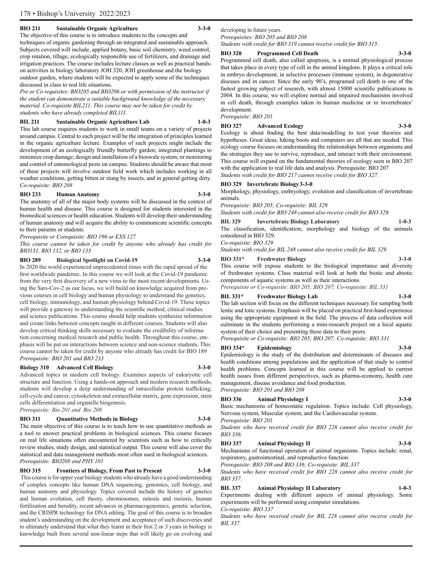#### **BIO 211 Sustainable Organic Agriculture 3-3-0**

The objective of this course is to introduce students to the concepts and techniques of organic gardening through an integrated and sustainable approach. Subjects covered will include, applied botany, basic soil chemistry, weed control, crop rotation, tillage, ecologically responsible use of fertilizers, and drainage and irrigation practices. The course includes lecture classes as well as practical handson activities in biology laboratory JOH 320, JOH greenhouse and the biology outdoor garden, where students will be expected to apply some of the techniques discussed in class to real life situations.

*Pre or Co requisites: BIO205 and BIO206 or with permission of the instructor if the student can demonstrate a suitable background knowledge of the necessary material. Co-requisite BIL211. This course may not be taken for credit by students who have already completed BIL111.*

#### **BIL 211 Sustainable Organic Agriculture Lab 1-0-3**

This lab course requires students to work in small teams on a variety of projects around campus. Central to each project will be the integration of principles learned in the organic agriculture lecture. Examples of such projects might include the development of an ecologically friendly butterfly garden; integrated plantings to minimize crop damage; design and installation of a bioswale system; or monitoring and control of entomological pests on campus. Students should be aware that most of these projects will involve outdoor field work which includes working in all weather conditions, getting bitten or stung by insects, and in general getting dirty. *Co-requisite: BIO 208*

#### **BIO 233 Human Anatomy 3-3-0**

The anatomy of all of the major body systems will be discussed in the context of human health and disease. This course is designed for students interested in the biomedical sciences or health education. Students will develop their understanding of human anatomy and will acquire the ability to communicate scientific concepts to their patients or students.

*Prerequisite or Corequisite: BIO 196 or EXS 127*

*This course cannot be taken for credit by anyone who already has credit for BIO131, BIO 132, or BIO 133*

#### **BIO 289 Biological Spotlight on Covid-19 3-3-0**

In 2020 the world experienced unprecedented times with the rapid spread of the first worldwide pandemic. In this course we will look at the Covid-19 pandemic from the very first discovery of a new virus to the most recent developments. Using the Sars-Cov-2 as our focus, we will build on knowledge acquired from previous courses in cell biology and human physiology to understand the genetics, cell biology, immunology, and human physiology behind Covid-19. These topics will provide a gateway to understanding the scientific method, clinical studies and science publications. This course should help students synthesize information and create links between concepts taught in different courses. Students will also develop critical thinking skills necessary to evaluate the credibility of information concerning medical research and public health. Throughout this course, emphasis will be put on interactions between science and non-science students. This course cannot be taken for credit by anyone who already has credit for BIO 189 *Prerequisite: BIO 201 and BIO 233*

#### **Biology 310 Advanced Cell Biology 3-3-0**

Advanced topics in modern cell biology. Examines aspects of eukaryotic cell structure and function. Using a hands-on approach and modern research methods, students will develop a deep understanding of intracellular protein trafficking, cell-cycle and cancer, cytoskeleton and extracellular matrix, gene expression, stem cells differentiation and organelle biogenesis. *Prerequisite: Bio 201 and Bio 208* 

### **BIO 311 Quantitative Methods in Biology 3-3-0**

The main objective of this course is to teach how to use quantitative methods as a tool to answer practical problems in biological sciences. This course focuses on real life situations often encountered by scientists such as how to critically review studies, study design, and statistical output. This course will also cover the statistical and data management methods most often used in biological sciences. *Prerequisite: BIO208 and PHY 101*

#### **BIO 315 Frontiers of Biology, From Past to Present 3-3-0**

 This course is for upper year biology students who already have a good understanding of complex concepts like human DNA sequencing, genomics, cell biology, and human anatomy and physiology. Topics covered include the history of genetics and human evolution, cell theory, chromosomes, mitosis and meiosis, human fertilization and heredity, recent advances in pharmacogenomics, genetic selection, and the CRISPR technology for DNA editing. The goal of this course is to broaden student's understanding on the development and acceptance of such discoveries and to ultimately understand that what they learnt in their first 2 or 3 years in biology is knowledge built from several non-linear steps that will likely go on evolving and

developing in future years.

*Prerequisites: BIO 205 and BIO 208 Students with credit for BIO 319 cannot receive credit for BIO 315.*

#### **BIO 320 Programmed Cell Death 3-3-0**

Programmed cell death, also called apoptosis, is a normal physiological process that takes place in every type of cell in the animal kingdom. It plays a critical role in embryo development, in selective processes (immune system), in degenerative diseases and in cancer. Since the early 90's, programed cell death is one of the fastest growing subject of research, with almost 15000 scientific publications in 2004. In this course, we will explore normal and impaired mechanisms involved in cell death, through examples taken in human medicine or in invertebrates' development.

*Prerequisite: BIO 201*

#### **BIO 327 Advanced Ecology 3-3-0**

Ecology is about finding the best data/modelling to test your theories and hypotheses. Great ideas, hiking boots and computers are all that are needed. This ecology course focuses on understanding the relationships between organisms and the strategies they use to survive, reproduce, and interact with their environment. This course will expand on the fundamental theories of ecology seen in BIO 207 with the application to real life data and analysis. Prerequisite: BIO 207 *Students with credit for BIO 217 cannot receive credit for BIO 327.*

#### **BIO 329 Invertebrate Biology 3-3-0**

Morphology, physiology, embryology, evolution and classification of invertebrate animals.

*Prerequisite: BIO 205; Co-requisite: BIL 329*

*Students with credit for BIO 248 cannot also receive credit for BIO 329.*

#### **BIL 329 Invertebrate Biology Laboratory 1-0-3**

The classification, identification, morphology and biology of the animals considered in BIO 329.

*Co-requisite: BIO 329*

*Students with credit for BIL 248 cannot also receive credit for BIL 329.*

#### **BIO 331\* Freshwater Biology 3-3-0**

This course will expose students to the biological importance and diversity of freshwater systems. Class material will look at both the biotic and abiotic components of aquatic systems as well as their interactions.

*Prerequisite or Co-requisite: BIO 205; BIO 207; Co-requisite: BIL 331*

#### **BIL 331\* Freshwater Biology Lab 1-3-0**

The lab section will focus on the different techniques necessary for sampling both lentic and lotic systems. Emphasis will be placed on practical first-hand experience using the appropriate equipment in the field. The process of data collection will culminate in the students performing a mini-research project on a local aquatic system of their choice and presenting these data to their peers.

*Prerequisite or Co-requisite: BIO 205; BIO 207; Co-requisite: BIO 331*

#### **BIO 334\* Epidemiology 3-3-0**

Epidemiology is the study of the distribution and determinants of diseases and health conditions among populations and the application of that study to control health problems. Concepts learned in this course will be applied to current health issues from different perspectives, such as pharma-economy, health care management, disease avoidance and food production. *Prerequisite: BIO 201 and BIO 208*

#### **BIO 336 Animal Physiology I 3-3-0**

Basic mechanisms of homeostatic regulation. Topics include: Cell physiology, Nervous system, Muscular system, and the Cardiovascular system. *Prerequisite: BIO 201*

*Students who have received credit for BIO 226 cannot also receive credit for BIO 336.*

#### **BIO 337 Animal Physiology II 3-3-0**

Mechanisms of functional operation of animal organisms. Topics include: renal, respiratory, gastrointestinal, and reproductive function.

*Prerequisite: BIO 208 and BIO 336; Co-requisite: BIL 337*

*Students who have received credit for BIO 228 cannot also receive credit for BIO 337.*

### **BIL 337 Animal Physiology II Laboratory 1-0-3**

Experiments dealing with different aspects of animal physiology. Some experiments will be performed using computer simulations. *Co-requisite: BIO 337*

*Students who have received credit for BIL 228 cannot also receive credit for BIL 337.*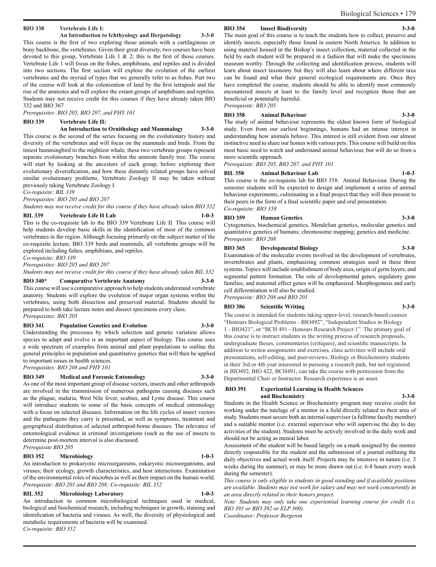#### **BIO 338 Vertebrate Life I:**

**An Introduction to Ichthyology and Herpetology 3-3-0**

This course is the first of two exploring those animals with a cartilaginous or bony backbone, the vertebrates. Given their great diversity, two courses have been devoted to this group, Vertebrate Life  $1 \& 2$ ; this is the first of those courses. Vertebrate Life 1 will focus on the fishes, amphibians, and reptiles and is divided into two sections. The first section will explore the evolution of the earliest vertebrates and the myriad of types that we generally refer to as fishes. Part two of the course will look at the colonization of land by the first tetrapods and the rise of the amniotes and will explore the extant groups of amphibians and reptiles. Students may not receive credit for this courses if they have already taken BIO 332 and BIO 367

*Prerequisites: BIO 205, BIO 207, and PHY 101*

#### **BIO 339 Vertebrate Life II:**

**An Introduction to Ornithology and Mammalogy 3-3-0**

This course is the second of the series focusing on the evolutionary history and diversity of the vertebrates and will focus on the mammals and birds. From the tiniest hummingbird to the mightiest whale, these two vertebrate groups represent separate evolutionary branches from within the amniote family tree. The course will start by looking at the ancestors of each group, before exploring their evolutionary diversification, and how these distantly related groups have solved similar evolutionary problems. Vertebrate Zoology II may be taken without previously taking Vertebrate Zoology I.

*Co-requisite: BIL 339*

*Prerequisites: BIO 205 and BIO 207*

*Students may not receive credit for this course if they have already taken BIO 332*

#### **BIL 339 Vertebrate Life II Lab 1-0-3**

This is the co-requisite lab to the BIO 339 Vertebrate Life II. This course will help students develop basic skills in the identification of most of the common vertebrates in the region. Although focusing primarily on the subject matter of the co-requisite lecture, BIO 339 birds and mammals, all vertebrate groups will be explored including fishes, amphibians, and reptiles.

*Co-requisite: BIO 339*

*Prerequisites: BIO 205 and BIO 207*

*Students may not receive credit for this course if they have already taken BIL 332*

#### **BIO 340\* Comparative Vertebrate Anatomy 3-3-0**

This course will use a comparative approach to help students understand vertebrate anatomy. Students will explore the evolution of major organ systems within the vertebrates, using both dissection and preserved material. Students should be prepared to both take lecture notes and dissect specimens every class. *Prerequisites: BIO 205*

#### **BIO 341 Population Genetics and Evolution 3-3-0**

Understanding the processes by which selection and genetic variation allows species to adapt and evolve is an important aspect of biology. This course uses a wide spectrum of examples from animal and plant populations to outline the general principles in population and quantitative genetics that will then be applied to important issues in health sciences.

*Prerequisites: BIO 208 and PHY 101*

#### **BIO 349 Medical and Forensic Entomology 3-3-0** As one of the most important group of disease vectors, insects and other arthropods are involved in the transmission of numerous pathogens causing diseases such as the plague, malaria, West Nile fever, scabies, and Lyme disease. This course will introduce students to some of the basic concepts of medical entomology with a focus on selected diseases. Information on the life cycles of insect vectors and the pathogens they carry is presented, as well as symptoms, treatment and geographical distribution of selected arthropod-borne diseases. The relevance of entomological evidence in criminal investigations (such as the use of insects to determine post-mortem interval is also discussed.

#### *Prerequisite BIO 205*

#### **BIO 352 Microbiology 1-0-3**

An introduction to prokaryotic microorganisms, eukaryotic microorganisms, and viruses; their ecology, growth characteristics, and host interactions. Examination of the environmental roles of microbes as well as their impact on the human world. *Prerequisite: BIO 201 and BIO 208; Co-requisite: BIL 352*

#### **BIL 352 Microbiology Laboratory 1-0-3**

An introduction to common microbiological techniques used in medical, biological and biochemical research, including techniques in growth, staining and identification of bacteria and viruses. As well, the diversity of physiological and metabolic requirements of bacteria will be examined. *Co-requisite: BIO 352*

#### **BIO 354 Insect Biodiversity**

The main goal of this course is to teach the students how to collect, preserve and identify insects, especially those found in eastern North America. In addition to using material housed in the Bishop's insect collection, material collected in the field by each student will be prepared in a fashion that will make the specimens museum worthy. Through the collecting and identification process, students will learn about insect taxonomy but they will also learn about where different taxa can be found and what their general ecological requirements are. Once they have completed the course, students should be able to identify most commonly encountered insects at least to the family level and recognize those that are beneficial or potentially harmful. *Prerequisite: BIO 205*

#### **BIO 358 Animal Behaviour 3-3-0**

The study of animal behaviour represents the oldest known form of biological study. Even from our earliest beginnings, humans had an intense interest in understanding how animals behave. This interest is still evident from our almost instinctive need to share our homes with various pets. This course will build on this most basic need to watch and understand animal behaviour, but will do so from a more scientific approach.

*Prerequisite: BIO 205, BIO 207, and PHY 101*

#### **BIL 358 Animal Behaviour Lab 1-0-3**

This course is the co-requisite lab for BIO 358: Animal Behaviour. During the semester students will be expected to design and implement a series of animal behaviour experiments, culminating in a final project that they will then present to their peers in the form of a final scientific paper and oral presentation. *Co-requisite: BIO 358*

#### **BIO 359 Human Genetics 3-3-0**

Cytogenetics, biochemical genetics, Mendelian genetics, molecular genetics and quantitative genetics of humans; chromosome mapping; genetics and medicine. *Prerequisite: BIO 208*

#### **BIO 365 Developmental Biology 3-3-0**

Examination of the molecular events involved in the development of vertebrates, invertebrates and plants, emphasizing common strategies used in these three systems. Topics will include establishment of body axes, origin of germ layers, and segmental pattern formation. The role of developmental genes, regulatory gene families, and maternal effect genes will be emphasized. Morphogenesis and early cell differentiation will also be studied.

*Prerequisite: BIO 208 and BIO 201*

#### **BIO 386 Scientific Writing 3-3-0**

The course is intended for students taking upper-level, research-based courses "Honours Biological Problems - BIO492", "Independent Studies in Biology 1 - BIO421", or "BCH 491 - Honours Research Project 1". The primary goal of this course is to instruct students in the writing process of research proposals, undergraduate theses, commentaries (critiques), and scientific manuscripts. In addition to writen assignments and exercises, class activities will include oral presentations, self-editing, and peer-reviews. Biology or Biochemistry students in their 3rd or 4th year interested in pursuing a research path, but not registered in BIO492, BIO 422, BCH491, can take the course with permission from the Departmental Chair or Instructor. Research experience is an asset.

#### .**BIO 391 Experiential Learning in Health Sciences and Biochemistry 3-3-0**

Students in the Health Science or Biochemistry program may receive credit for working under the tutelage of a mentor in a field directly related to their area of study. Students must secure both an internal supervisor (a fulltime faculty member) and a suitable mentor (i.e. external supervisor who will supervise the day to day activities of the student). Students must be actively involved in the daily work and should not be acting as menial labor.

Assessment of the student will be based largely on a mark assigned by the mentor directly responsible for the student and the submission of a journal outlining the daily objectives and actual work itself. Projects may be intensive in nature (i.e. 3 weeks during the summer), or may be more drawn out (i.e. 6-8 hours every week during the semester).

*This course is only eligible to students in good standing and if available positions are available. Students may not work for salary and may not work concurrently in an area directly related to their honors project.* 

*Note: Students may only take one experiential learning course for credit (i.e. BIO 391 or BIO 392 or ELP 300).*

*Coordinator: Professor Bergeron*